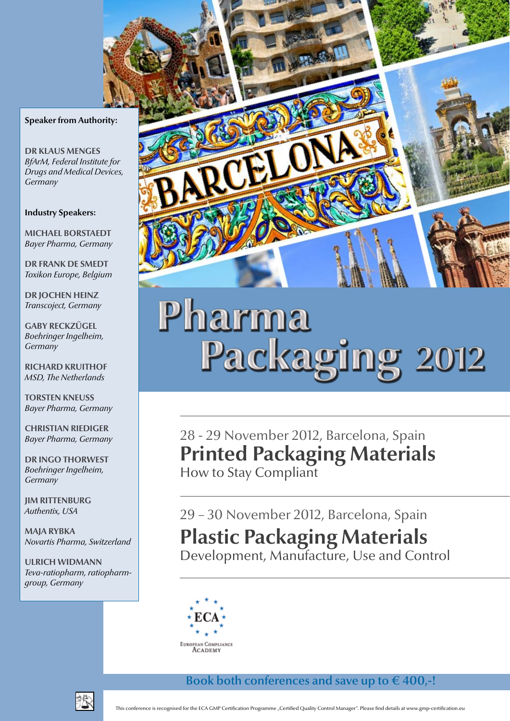# **Speaker from Authority:**

**DR KLAUS MENGES** *BfArM, Federal Institute for Drugs and Medical Devices, Germany*

# **Industry Speakers:**

**Michael Borstaedt** *Bayer Pharma, Germany*

**Dr FRANK DE SMEDT** *Toxikon Europe, Belgium*

**Dr JOCHEN HEINZ**  *Transcoject, Germany*

**GABY RECKZÜGEL** *Boehringer Ingelheim, Germany* 

 **RICHARD KRUITHOF** *MSD, The Netherlands*

**Torsten Kneuss** *Bayer Pharma, Germany*

**CHRISTIAN RIEDIGER** *Bayer Pharma, Germany*

**Dr INGO THORWEST** *Boehringer Ingelheim, Germany* 

**Jim Rittenburg** *Authentix, USA*

**MAJA RYBKA** *Novartis Pharma, Switzerland*

**Ulrich Widmann** *Teva-ratiopharm, ratiopharmgroup, Germany*



# Pharma Packaging 2012

28 - 29 November 2012, Barcelona, Spain **Printed Packaging Materials** How to Stay Compliant

# 29 – 30 November 2012, Barcelona, Spain

# **Plastic Packaging Materials**

Development, Manufacture, Use and Control



Book both conferences and save up to  $\epsilon$  400,-!

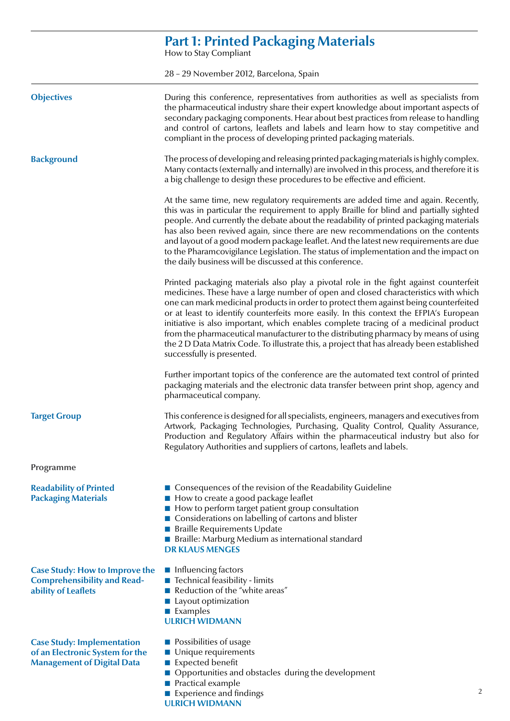|                                                                                                           | <b>Part 1: Printed Packaging Materials</b><br>How to Stay Compliant                                                                                                                                                                                                                                                                                                                                                                                                                                                                                                                                                                                                    |
|-----------------------------------------------------------------------------------------------------------|------------------------------------------------------------------------------------------------------------------------------------------------------------------------------------------------------------------------------------------------------------------------------------------------------------------------------------------------------------------------------------------------------------------------------------------------------------------------------------------------------------------------------------------------------------------------------------------------------------------------------------------------------------------------|
|                                                                                                           | 28 - 29 November 2012, Barcelona, Spain                                                                                                                                                                                                                                                                                                                                                                                                                                                                                                                                                                                                                                |
| <b>Objectives</b>                                                                                         | During this conference, representatives from authorities as well as specialists from<br>the pharmaceutical industry share their expert knowledge about important aspects of<br>secondary packaging components. Hear about best practices from release to handling<br>and control of cartons, leaflets and labels and learn how to stay competitive and<br>compliant in the process of developing printed packaging materials.                                                                                                                                                                                                                                          |
| <b>Background</b>                                                                                         | The process of developing and releasing printed packaging materials is highly complex.<br>Many contacts (externally and internally) are involved in this process, and therefore it is<br>a big challenge to design these procedures to be effective and efficient.                                                                                                                                                                                                                                                                                                                                                                                                     |
|                                                                                                           | At the same time, new regulatory requirements are added time and again. Recently,<br>this was in particular the requirement to apply Braille for blind and partially sighted<br>people. And currently the debate about the readability of printed packaging materials<br>has also been revived again, since there are new recommendations on the contents<br>and layout of a good modern package leaflet. And the latest new requirements are due<br>to the Pharamcovigilance Legislation. The status of implementation and the impact on<br>the daily business will be discussed at this conference.                                                                  |
|                                                                                                           | Printed packaging materials also play a pivotal role in the fight against counterfeit<br>medicines. These have a large number of open and closed characteristics with which<br>one can mark medicinal products in order to protect them against being counterfeited<br>or at least to identify counterfeits more easily. In this context the EFPIA's European<br>initiative is also important, which enables complete tracing of a medicinal product<br>from the pharmaceutical manufacturer to the distributing pharmacy by means of using<br>the 2 D Data Matrix Code. To illustrate this, a project that has already been established<br>successfully is presented. |
|                                                                                                           | Further important topics of the conference are the automated text control of printed<br>packaging materials and the electronic data transfer between print shop, agency and<br>pharmaceutical company.                                                                                                                                                                                                                                                                                                                                                                                                                                                                 |
| <b>Target Group</b>                                                                                       | This conference is designed for all specialists, engineers, managers and executives from<br>Artwork, Packaging Technologies, Purchasing, Quality Control, Quality Assurance,<br>Production and Regulatory Affairs within the pharmaceutical industry but also for<br>Regulatory Authorities and suppliers of cartons, leaflets and labels.                                                                                                                                                                                                                                                                                                                             |
| Programme                                                                                                 |                                                                                                                                                                                                                                                                                                                                                                                                                                                                                                                                                                                                                                                                        |
| <b>Readability of Printed</b><br><b>Packaging Materials</b>                                               | ■ Consequences of the revision of the Readability Guideline<br>How to create a good package leaflet<br>■ How to perform target patient group consultation<br>■ Considerations on labelling of cartons and blister<br><b>Braille Requirements Update</b><br>■ Braille: Marburg Medium as international standard<br><b>DR KLAUS MENGES</b>                                                                                                                                                                                                                                                                                                                               |
| <b>Case Study: How to Improve the</b><br><b>Comprehensibility and Read-</b><br>ability of Leaflets        | ■ Influencing factors<br>■ Technical feasibility - limits<br>Reduction of the "white areas"<br>■ Layout optimization<br>$\blacksquare$ Examples<br><b>ULRICH WIDMANN</b>                                                                                                                                                                                                                                                                                                                                                                                                                                                                                               |
| <b>Case Study: Implementation</b><br>of an Electronic System for the<br><b>Management of Digital Data</b> | • Possibilities of usage<br>■ Unique requirements<br>■ Expected benefit<br>Opportunities and obstacles during the development<br>Practical example                                                                                                                                                                                                                                                                                                                                                                                                                                                                                                                     |

■ Experience and findings

# **ULRICH WID**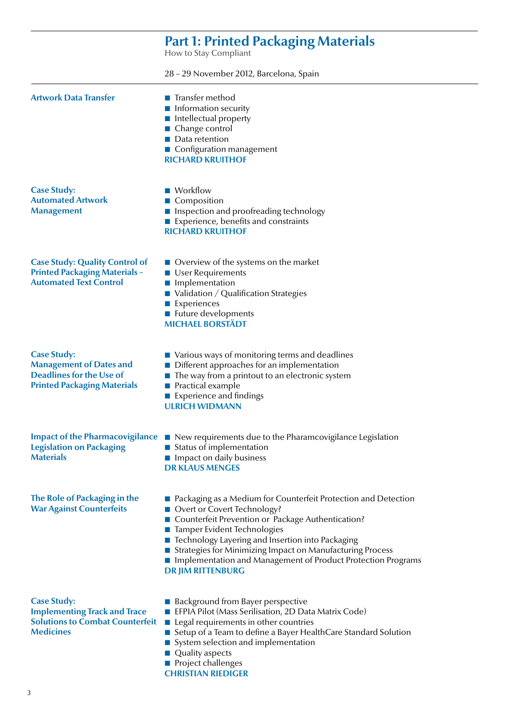|                                                                                                                               | <b>Part 1: Printed Packaging Materials</b><br>How to Stay Compliant                                                                                                                                                                                                                                                                                                                                |
|-------------------------------------------------------------------------------------------------------------------------------|----------------------------------------------------------------------------------------------------------------------------------------------------------------------------------------------------------------------------------------------------------------------------------------------------------------------------------------------------------------------------------------------------|
|                                                                                                                               | 28 - 29 November 2012, Barcelona, Spain                                                                                                                                                                                                                                                                                                                                                            |
| <b>Artwork Data Transfer</b>                                                                                                  | Transfer method<br>Information security<br>Intellectual property<br>Change control<br>Data retention<br>Configuration management<br><b>RICHARD KRUITHOF</b>                                                                                                                                                                                                                                        |
| <b>Case Study:</b><br><b>Automated Artwork</b><br><b>Management</b>                                                           | Workflow<br>Composition<br>Inspection and proofreading technology<br>Experience, benefits and constraints<br><b>RICHARD KRUITHOF</b>                                                                                                                                                                                                                                                               |
| <b>Case Study: Quality Control of</b><br><b>Printed Packaging Materials -</b><br><b>Automated Text Control</b>                | $\blacksquare$ Overview of the systems on the market<br><b>User Requirements</b><br>Implementation<br>$\blacksquare$ Validation / Qualification Strategies<br>Experiences<br>Future developments<br><b>MICHAEL BORSTÄDT</b>                                                                                                                                                                        |
| <b>Case Study:</b><br><b>Management of Dates and</b><br><b>Deadlines for the Use of</b><br><b>Printed Packaging Materials</b> | $\blacksquare$ Various ways of monitoring terms and deadlines<br>Different approaches for an implementation<br>The way from a printout to an electronic system<br>Practical example<br><b>Experience and findings</b><br><b>ULRICH WIDMANN</b>                                                                                                                                                     |
| <b>Legislation on Packaging</b><br><b>Materials</b>                                                                           | Impact of the Pharmacovigilance <b>Now</b> requirements due to the Pharamcovigilance Legislation<br>Status of implementation<br>Impact on daily business<br><b>DR KLAUS MENGES</b>                                                                                                                                                                                                                 |
| The Role of Packaging in the<br><b>War Against Counterfeits</b>                                                               | ■ Packaging as a Medium for Counterfeit Protection and Detection<br>Overt or Covert Technology?<br>Counterfeit Prevention or Package Authentication?<br>Tamper Evident Technologies<br>■ Technology Layering and Insertion into Packaging<br>Strategies for Minimizing Impact on Manufacturing Process<br>Implementation and Management of Product Protection Programs<br><b>DR JIM RITTENBURG</b> |
| <b>Case Study:</b><br><b>Implementing Track and Trace</b><br><b>Solutions to Combat Counterfeit</b><br><b>Medicines</b>       | ■ Background from Bayer perspective<br>EFPIA Pilot (Mass Serilisation, 2D Data Matrix Code)<br>Legal requirements in other countries<br>Setup of a Team to define a Bayer HealthCare Standard Solution<br>System selection and implementation<br><b>Quality aspects</b><br>Project challenges<br><b>CHRISTIAN RIEDIGER</b>                                                                         |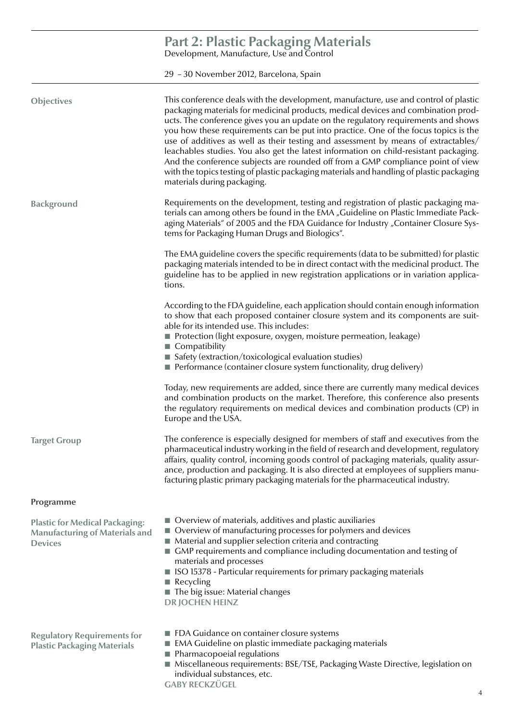|                                                                                                  | <b>Part 2: Plastic Packaging Materials</b><br>Development, Manufacture, Use and Control                                                                                                                                                                                                                                                                                                                                                                                                                                                                                                                                                                                                                                                           |
|--------------------------------------------------------------------------------------------------|---------------------------------------------------------------------------------------------------------------------------------------------------------------------------------------------------------------------------------------------------------------------------------------------------------------------------------------------------------------------------------------------------------------------------------------------------------------------------------------------------------------------------------------------------------------------------------------------------------------------------------------------------------------------------------------------------------------------------------------------------|
|                                                                                                  | 29 - 30 November 2012, Barcelona, Spain                                                                                                                                                                                                                                                                                                                                                                                                                                                                                                                                                                                                                                                                                                           |
| Objectives                                                                                       | This conference deals with the development, manufacture, use and control of plastic<br>packaging materials for medicinal products, medical devices and combination prod-<br>ucts. The conference gives you an update on the regulatory requirements and shows<br>you how these requirements can be put into practice. One of the focus topics is the<br>use of additives as well as their testing and assessment by means of extractables/<br>leachables studies. You also get the latest information on child-resistant packaging.<br>And the conference subjects are rounded off from a GMP compliance point of view<br>with the topics testing of plastic packaging materials and handling of plastic packaging<br>materials during packaging. |
| <b>Background</b>                                                                                | Requirements on the development, testing and registration of plastic packaging ma-<br>terials can among others be found in the EMA "Guideline on Plastic Immediate Pack-<br>aging Materials" of 2005 and the FDA Guidance for Industry "Container Closure Sys-<br>tems for Packaging Human Drugs and Biologics".                                                                                                                                                                                                                                                                                                                                                                                                                                  |
|                                                                                                  | The EMA guideline covers the specific requirements (data to be submitted) for plastic<br>packaging materials intended to be in direct contact with the medicinal product. The<br>guideline has to be applied in new registration applications or in variation applica-<br>tions.                                                                                                                                                                                                                                                                                                                                                                                                                                                                  |
|                                                                                                  | According to the FDA guideline, each application should contain enough information<br>to show that each proposed container closure system and its components are suit-<br>able for its intended use. This includes:                                                                                                                                                                                                                                                                                                                                                                                                                                                                                                                               |
|                                                                                                  | Protection (light exposure, oxygen, moisture permeation, leakage)<br>■ Compatibility<br>■ Safety (extraction/toxicological evaluation studies)<br>Performance (container closure system functionality, drug delivery)                                                                                                                                                                                                                                                                                                                                                                                                                                                                                                                             |
|                                                                                                  | Today, new requirements are added, since there are currently many medical devices<br>and combination products on the market. Therefore, this conference also presents<br>the regulatory requirements on medical devices and combination products (CP) in<br>Europe and the USA.                                                                                                                                                                                                                                                                                                                                                                                                                                                                   |
| <b>Target Group</b>                                                                              | The conference is especially designed for members of staff and executives from the<br>pharmaceutical industry working in the field of research and development, regulatory<br>affairs, quality control, incoming goods control of packaging materials, quality assur-<br>ance, production and packaging. It is also directed at employees of suppliers manu-<br>facturing plastic primary packaging materials for the pharmaceutical industry.                                                                                                                                                                                                                                                                                                    |
| Programme                                                                                        |                                                                                                                                                                                                                                                                                                                                                                                                                                                                                                                                                                                                                                                                                                                                                   |
| <b>Plastic for Medical Packaging:</b><br><b>Manufacturing of Materials and</b><br><b>Devices</b> | $\blacksquare$ Overview of materials, additives and plastic auxiliaries<br>■ Overview of manufacturing processes for polymers and devices<br>■ Material and supplier selection criteria and contracting<br>■ GMP requirements and compliance including documentation and testing of<br>materials and processes<br>■ ISO 15378 - Particular requirements for primary packaging materials<br>$\blacksquare$ Recycling<br>■ The big issue: Material changes<br><b>DR JOCHEN HEINZ</b>                                                                                                                                                                                                                                                                |
| <b>Regulatory Requirements for</b>                                                               | FDA Guidance on container closure systems                                                                                                                                                                                                                                                                                                                                                                                                                                                                                                                                                                                                                                                                                                         |

■ EMA Guideline on plastic immediate packaging materials

- **Pharmacopoeial regulations**
- Miscellaneous requirements: BSE/TSE, Packaging Waste Directive, legislation on individual substances, etc.

**Gaby Reckzügel**

**Plastic Packaging Materials**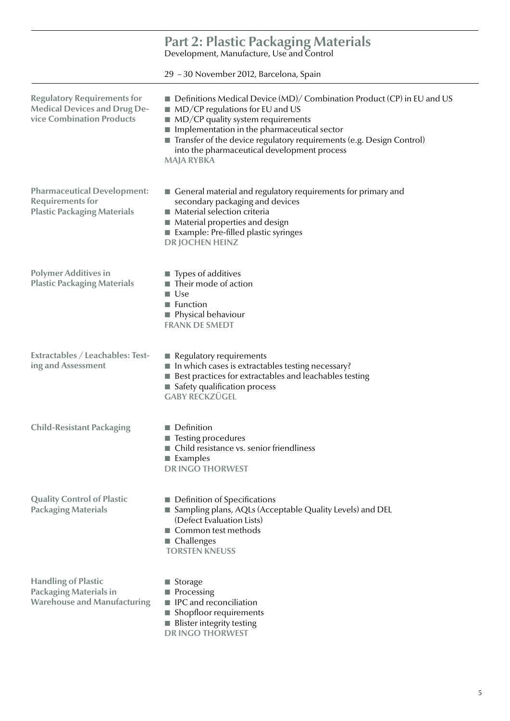|                                                                                                        | <b>Part 2: Plastic Packaging Materials</b><br>Development, Manufacture, Use and Control                                                                                                                                                                                                                                                                                        |
|--------------------------------------------------------------------------------------------------------|--------------------------------------------------------------------------------------------------------------------------------------------------------------------------------------------------------------------------------------------------------------------------------------------------------------------------------------------------------------------------------|
|                                                                                                        | 29 - 30 November 2012, Barcelona, Spain                                                                                                                                                                                                                                                                                                                                        |
| <b>Regulatory Requirements for</b><br><b>Medical Devices and Drug De-</b><br>vice Combination Products | <b>Definitions Medical Device (MD)/ Combination Product (CP) in EU and US</b><br>$\blacksquare$ MD/CP regulations for EU and US<br>$\blacksquare$ MD/CP quality system requirements<br>Implementation in the pharmaceutical sector<br>Transfer of the device regulatory requirements (e.g. Design Control)<br>into the pharmaceutical development process<br><b>MAJA RYBKA</b> |
| <b>Pharmaceutical Development:</b><br><b>Requirements for</b><br><b>Plastic Packaging Materials</b>    | ■ General material and regulatory requirements for primary and<br>secondary packaging and devices<br>Material selection criteria<br>$\blacksquare$ Material properties and design<br>■ Example: Pre-filled plastic syringes<br><b>DR JOCHEN HEINZ</b>                                                                                                                          |
| <b>Polymer Additives in</b><br><b>Plastic Packaging Materials</b>                                      | $\blacksquare$ Types of additives<br>Their mode of action<br>Use<br>$\blacksquare$ Function<br>■ Physical behaviour<br><b>FRANK DE SMEDT</b>                                                                                                                                                                                                                                   |
| Extractables / Leachables: Test-<br>ing and Assessment                                                 | Regulatory requirements<br>In which cases is extractables testing necessary?<br>■ Best practices for extractables and leachables testing<br>■ Safety qualification process<br><b>GABY RECKZÜGEL</b>                                                                                                                                                                            |
| <b>Child-Resistant Packaging</b>                                                                       | <b>■</b> Definition<br>Testing procedures<br>Child resistance vs. senior friendliness<br>$\blacksquare$ Examples<br><b>DRINGO THORWEST</b>                                                                                                                                                                                                                                     |
| <b>Quality Control of Plastic</b><br><b>Packaging Materials</b>                                        | Definition of Specifications<br>■ Sampling plans, AQLs (Acceptable Quality Levels) and DEL<br>(Defect Evaluation Lists)<br>■ Common test methods<br>$\blacksquare$ Challenges<br><b>TORSTEN KNEUSS</b>                                                                                                                                                                         |
| <b>Handling of Plastic</b><br><b>Packaging Materials in</b><br><b>Warehouse and Manufacturing</b>      | ■ Storage<br><b>■</b> Processing<br>■ IPC and reconciliation<br>■ Shopfloor requirements<br>■ Blister integrity testing                                                                                                                                                                                                                                                        |

**Dr Ingo Thorwest**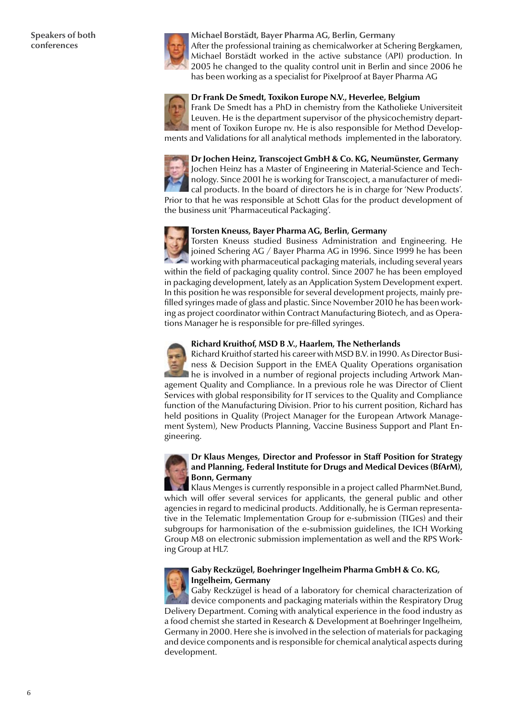

**Michael Borstädt, Bayer Pharma AG, Berlin, Germany** After the professional training as chemicalworker at Schering Bergkamen, Michael Borstädt worked in the active substance (API) production. In 2005 he changed to the quality control unit in Berlin and since 2006 he has been working as a specialist for Pixelproof at Bayer Pharma AG



# **Dr Frank De Smedt, Toxikon Europe N.V., Heverlee, Belgium**

Frank De Smedt has a PhD in chemistry from the Katholieke Universiteit Leuven. He is the department supervisor of the physicochemistry department of Toxikon Europe nv. He is also responsible for Method Developments and Validations for all analytical methods implemented in the laboratory.



**Dr Jochen Heinz, Transcoject GmbH & Co. KG, Neumünster, Germany**

Jochen Heinz has a Master of Engineering in Material-Science and Technology. Since 2001 he is working for Transcoject, a manufacturer of medical products. In the board of directors he is in charge for 'New Products'. Prior to that he was responsible at Schott Glas for the product development of the business unit 'Pharmaceutical Packaging'.



# **Torsten Kneuss, Bayer Pharma AG, Berlin, Germany**

Torsten Kneuss studied Business Administration and Engineering. He joined Schering AG / Bayer Pharma AG in 1996. Since 1999 he has been working with pharmaceutical packaging materials, including several years within the field of packaging quality control. Since 2007 he has been employed in packaging development, lately as an Application System Development expert. In this position he was responsible for several development projects, mainly prefilled syringes made of glass and plastic. Since November 2010 he has been working as project coordinator within Contract Manufacturing Biotech, and as Operations Manager he is responsible for pre-filled syringes.

# **Richard Kruithof, MSD B .V., Haarlem, The Netherlands**

Richard Kruithof started his career with MSD B.V. in 1990. As Director Business & Decision Support in the EMEA Quality Operations organisation **he is involved in a number of regional projects including Artwork Man**agement Quality and Compliance. In a previous role he was Director of Client Services with global responsibility for IT services to the Quality and Compliance function of the Manufacturing Division. Prior to his current position, Richard has held positions in Quality (Project Manager for the European Artwork Management System), New Products Planning, Vaccine Business Support and Plant Engineering.



## **Dr Klaus Menges, Director and Professor in Staff Position for Strategy and Planning, Federal Institute for Drugs and Medical Devices (BfArM), Bonn, Germany**

Klaus Menges is currently responsible in a project called PharmNet.Bund, which will offer several services for applicants, the general public and other agencies in regard to medicinal products. Additionally, he is German representative in the Telematic Implementation Group for e-submission (TIGes) and their subgroups for harmonisation of the e-submission guidelines, the ICH Working Group M8 on electronic submission implementation as well and the RPS Working Group at HL7.



# **Gaby Reckzügel, Boehringer Ingelheim Pharma GmbH & Co. KG, Ingelheim, Germany**

Gaby Reckzügel is head of a laboratory for chemical characterization of device components and packaging materials within the Respiratory Drug Delivery Department. Coming with analytical experience in the food industry as a food chemist she started in Research & Development at Boehringer Ingelheim, Germany in 2000. Here she is involved in the selection of materials for packaging and device components and is responsible for chemical analytical aspects during development.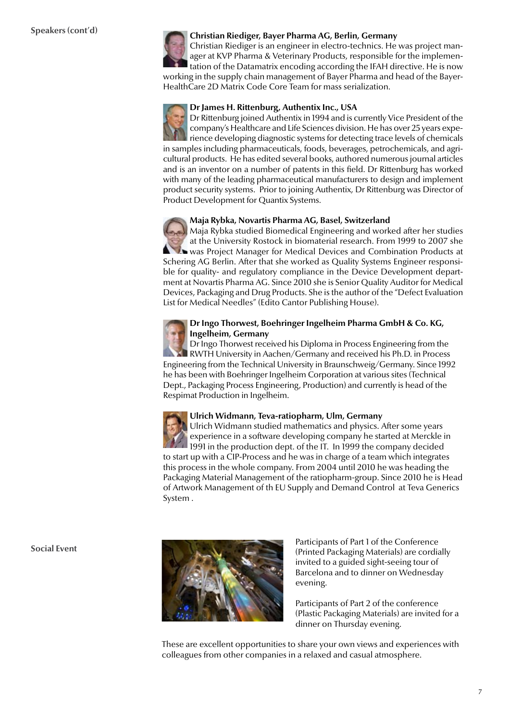

Christian Riediger is an engineer in electro-technics. He was project manager at KVP Pharma & Veterinary Products, responsible for the implementation of the Datamatrix encoding according the IFAH directive. He is now working in the supply chain management of Bayer Pharma and head of the Bayer-HealthCare 2D Matrix Code Core Team for mass serialization.

# **Dr James H. Rittenburg, Authentix Inc., USA**

Dr Rittenburg joined Authentix in 1994 and is currently Vice President of the company's Healthcare and Life Sciences division. He has over 25 years experience developing diagnostic systems for detecting trace levels of chemicals in samples including pharmaceuticals, foods, beverages, petrochemicals, and agricultural products. He has edited several books, authored numerous journal articles and is an inventor on a number of patents in this field. Dr Rittenburg has worked with many of the leading pharmaceutical manufacturers to design and implement product security systems. Prior to joining Authentix, Dr Rittenburg was Director of Product Development for Quantix Systems.

# **Maja Rybka, Novartis Pharma AG, Basel, Switzerland**

Maja Rybka studied Biomedical Engineering and worked after her studies at the University Rostock in biomaterial research. From 1999 to 2007 she was Project Manager for Medical Devices and Combination Products at Schering AG Berlin. After that she worked as Quality Systems Engineer responsible for quality- and regulatory compliance in the Device Development department at Novartis Pharma AG. Since 2010 she is Senior Quality Auditor for Medical Devices, Packaging and Drug Products. She is the author of the "Defect Evaluation List for Medical Needles" (Edito Cantor Publishing House).



## **Dr Ingo Thorwest, Boehringer Ingelheim Pharma GmbH & Co. KG, Ingelheim, Germany**

Dr Ingo Thorwest received his Diploma in Process Engineering from the RWTH University in Aachen/Germany and received his Ph.D. in Process Engineering from the Technical University in Braunschweig/Germany. Since 1992 he has been with Boehringer Ingelheim Corporation at various sites (Technical Dept., Packaging Process Engineering, Production) and currently is head of the Respimat Production in Ingelheim.



### **Ulrich Widmann, Teva-ratiopharm, Ulm, Germany**

Ulrich Widmann studied mathematics and physics. After some years experience in a software developing company he started at Merckle in 1991 in the production dept. of the IT. In 1999 the company decided to start up with a CIP-Process and he was in charge of a team which integrates this process in the whole company. From 2004 until 2010 he was heading the Packaging Material Management of the ratiopharm-group. Since 2010 he is Head of Artwork Management of th EU Supply and Demand Control at Teva Generics System .



Participants of Part 1 of the Conference (Printed Packaging Materials) are cordially invited to a guided sight-seeing tour of Barcelona and to dinner on Wednesday evening.

Participants of Part 2 of the conference (Plastic Packaging Materials) are invited for a dinner on Thursday evening.

These are excellent opportunities to share your own views and experiences with colleagues from other companies in a relaxed and casual atmosphere.

**Social Event**